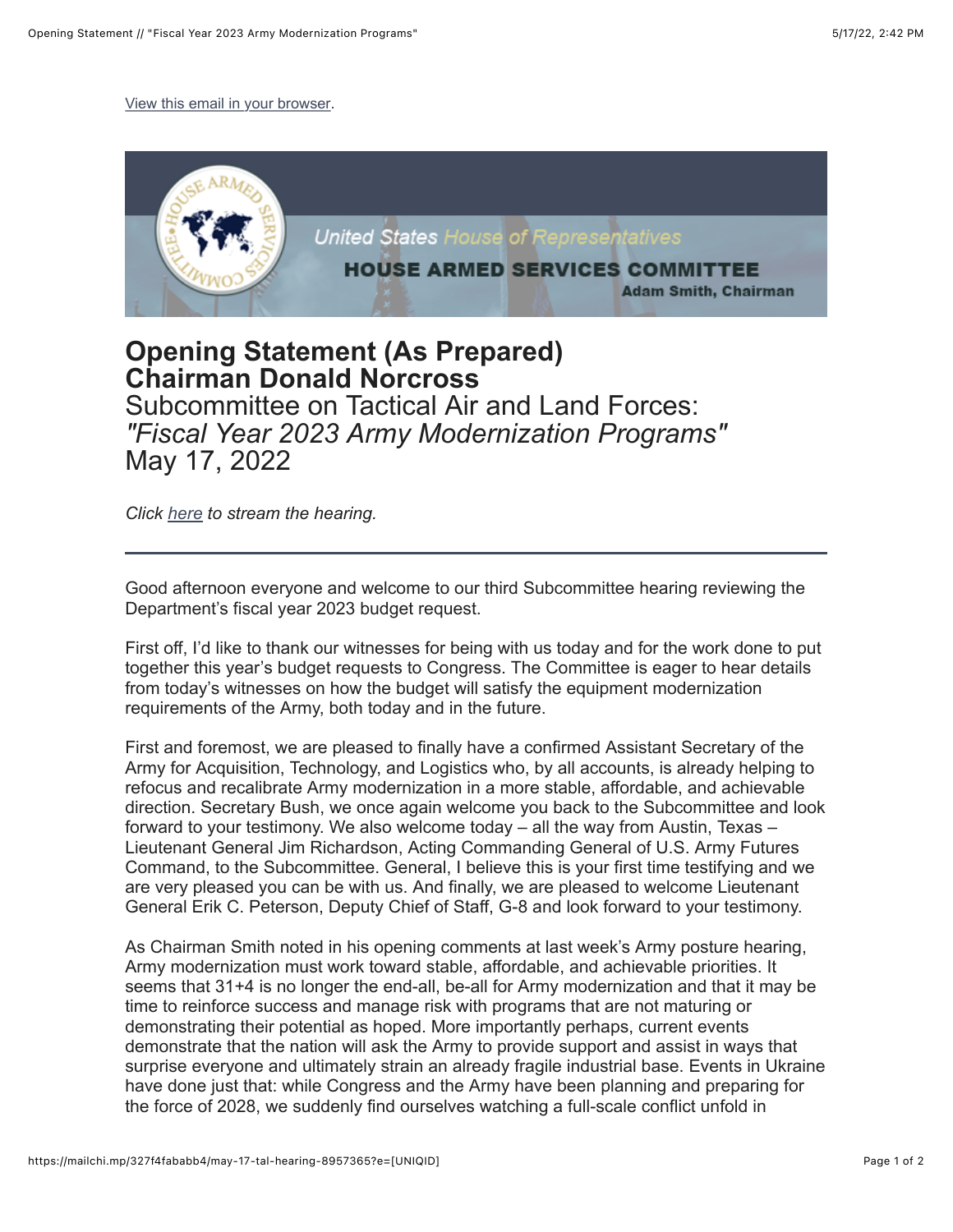[View this email in your browser.](https://mailchi.mp/327f4fababb4/may-17-tal-hearing-8957365?e=%5BUNIQID%5D)



## **Opening Statement (As Prepared) Chairman Donald Norcross**

Subcommittee on Tactical Air and Land Forces: *"Fiscal Year 2023 Army Modernization Programs"*  May 17, 2022

*Click [here](https://armedservices.house.gov/hearings?ID=DC640F2C-29BF-4DB8-A1BE-958D08DD08D3) to stream the hearing.*

Good afternoon everyone and welcome to our third Subcommittee hearing reviewing the Department's fiscal year 2023 budget request.

First off, I'd like to thank our witnesses for being with us today and for the work done to put together this year's budget requests to Congress. The Committee is eager to hear details from today's witnesses on how the budget will satisfy the equipment modernization requirements of the Army, both today and in the future.

First and foremost, we are pleased to finally have a confirmed Assistant Secretary of the Army for Acquisition, Technology, and Logistics who, by all accounts, is already helping to refocus and recalibrate Army modernization in a more stable, affordable, and achievable direction. Secretary Bush, we once again welcome you back to the Subcommittee and look forward to your testimony. We also welcome today – all the way from Austin, Texas – Lieutenant General Jim Richardson, Acting Commanding General of U.S. Army Futures Command, to the Subcommittee. General, I believe this is your first time testifying and we are very pleased you can be with us. And finally, we are pleased to welcome Lieutenant General Erik C. Peterson, Deputy Chief of Staff, G-8 and look forward to your testimony.

As Chairman Smith noted in his opening comments at last week's Army posture hearing, Army modernization must work toward stable, affordable, and achievable priorities. It seems that 31+4 is no longer the end-all, be-all for Army modernization and that it may be time to reinforce success and manage risk with programs that are not maturing or demonstrating their potential as hoped. More importantly perhaps, current events demonstrate that the nation will ask the Army to provide support and assist in ways that surprise everyone and ultimately strain an already fragile industrial base. Events in Ukraine have done just that: while Congress and the Army have been planning and preparing for the force of 2028, we suddenly find ourselves watching a full-scale conflict unfold in